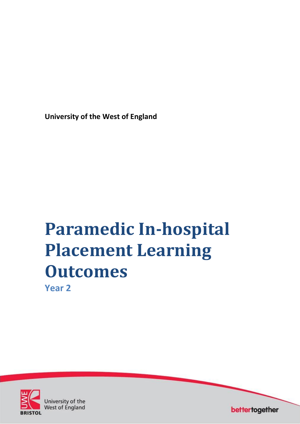**University of the West of England**

# **Paramedic In-hospital Placement Learning Outcomes Year 2**



University of the **West of England** 

bettertogether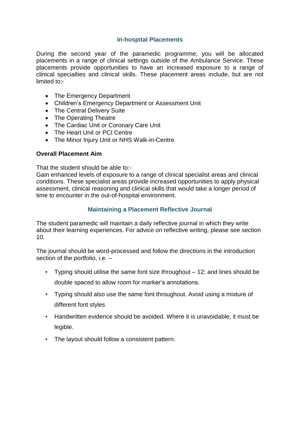## **In-hospital Placements**

During the second year of the paramedic programme; you will be allocated placements in a range of clinical settings outside of the Ambulance Service. These placements provide opportunities to have an increased exposure to a range of clinical specialties and clinical skills. These placement areas include, but are not limited to:-

- The Emergency Department
- Children's Emergency Department or Assessment Unit
- The Central Delivery Suite
- The Operating Theatre
- The Cardiac Unit or Coronary Care Unit
- The Heart Unit or PCI Centre
- The Minor Injury Unit or NHS Walk-in-Centre

### **Overall Placement Aim**

That the student should be able to:-

Gain enhanced levels of exposure to a range of clinical specialist areas and clinical conditions. These specialist areas provide increased opportunities to apply physical assessment, clinical reasoning and clinical skills that would take a longer period of time to encounter in the out-of-hospital environment.

## **Maintaining a Placement Reflective Journal**

The student paramedic will maintain a daily reflective journal in which they write about their learning experiences. For advice on reflective writing, please see section 10.

The journal should be word-processed and follow the directions in the introduction section of the portfolio, i.e. -

- Typing should utilise the same font size throughout 12; and lines should be double spaced to allow room for marker's annotations.
- Typing should also use the same font throughout. Avoid using a mixture of different font styles
- Handwritten evidence should be avoided. Where it is unavoidable, it must be legible.
- The layout should follow a consistent pattern.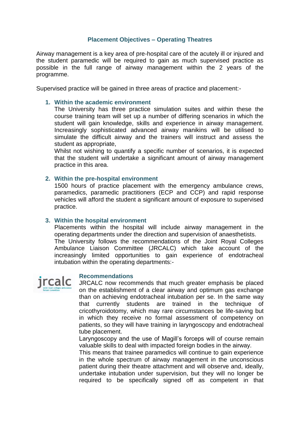## **Placement Objectives – Operating Theatres**

Airway management is a key area of pre-hospital care of the acutely ill or injured and the student paramedic will be required to gain as much supervised practice as possible in the full range of airway management within the 2 years of the programme.

Supervised practice will be gained in three areas of practice and placement:-

#### **1. Within the academic environment**

The University has three practice simulation suites and within these the course training team will set up a number of differing scenarios in which the student will gain knowledge, skills and experience in airway management. Increasingly sophisticated advanced airway manikins will be utilised to simulate the difficult airway and the trainers will instruct and assess the student as appropriate,

Whilst not wishing to quantify a specific number of scenarios, it is expected that the student will undertake a significant amount of airway management practice in this area.

#### **2. Within the pre-hospital environment**

1500 hours of practice placement with the emergency ambulance crews, paramedics, paramedic practitioners (ECP and CCP) and rapid response vehicles will afford the student a significant amount of exposure to supervised practice.

### **3. Within the hospital environment**

Placements within the hospital will include airway management in the operating departments under the direction and supervision of anaesthetists. The University follows the recommendations of the Joint Royal Colleges Ambulance Liaison Committee (JRCALC) which take account of the increasingly limited opportunities to gain experience of endotracheal intubation within the operating departments:-



#### **Recommendations**

JRCALC now recommends that much greater emphasis be placed on the establishment of a clear airway and optimum gas exchange than on achieving endotracheal intubation per se. In the same way that currently students are trained in the technique of cricothyroidotomy, which may rare circumstances be life-saving but in which they receive no formal assessment of competency on patients, so they will have training in laryngoscopy and endotracheal tube placement.

Laryngoscopy and the use of Magill's forceps will of course remain valuable skills to deal with impacted foreign bodies in the airway.

This means that trainee paramedics will continue to gain experience in the whole spectrum of airway management in the unconscious patient during their theatre attachment and will observe and, ideally, undertake intubation under supervision, but they will no longer be required to be specifically signed off as competent in that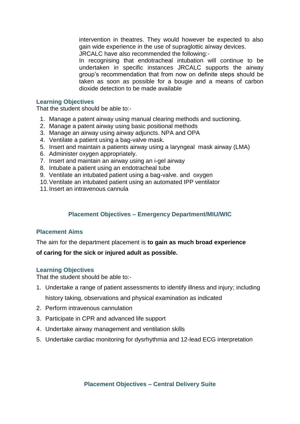intervention in theatres. They would however be expected to also gain wide experience in the use of supraglottic airway devices.

JRCALC have also recommended the following:-

In recognising that endotracheal intubation will continue to be undertaken in specific instances JRCALC supports the airway group's recommendation that from now on definite steps should be taken as soon as possible for a bougie and a means of carbon dioxide detection to be made available

#### **Learning Objectives**

That the student should be able to:-

- 1. Manage a patent airway using manual clearing methods and suctioning.
- 2. Manage a patent airway using basic positional methods
- 3. Manage an airway using airway adjuncts. NPA and OPA
- 4. Ventilate a patient using a bag-valve mask.
- 5. Insert and maintain a patients airway using a laryngeal mask airway (LMA)
- 6. Administer oxygen appropriately.
- 7. Insert and maintain an airway using an i-gel airway
- 8. Intubate a patient using an endotracheal tube
- 9. Ventilate an intubated patient using a bag-valve. and oxygen
- 10.Ventilate an intubated patient using an automated IPP ventilator
- 11.Insert an intravenous cannula

## **Placement Objectives – Emergency Department/MIU/WIC**

### **Placement Aims**

The aim for the department placement is **to gain as much broad experience** 

### **of caring for the sick or injured adult as possible.**

#### **Learning Objectives**

That the student should be able to:-

- 1. Undertake a range of patient assessments to identify illness and injury; including history taking, observations and physical examination as indicated
- 2. Perform intravenous cannulation
- 3. Participate in CPR and advanced life support
- 4. Undertake airway management and ventilation skills
- 5. Undertake cardiac monitoring for dysrhythmia and 12-lead ECG interpretation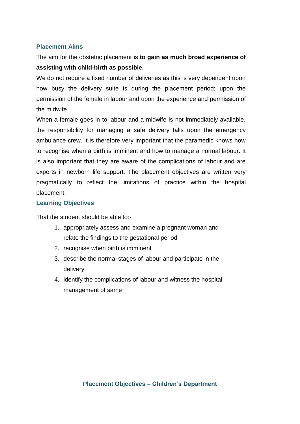## **Placement Aims**

The aim for the obstetric placement is **to gain as much broad experience of assisting with child-birth as possible.**

We do not require a fixed number of deliveries as this is very dependent upon how busy the delivery suite is during the placement period; upon the permission of the female in labour and upon the experience and permission of the midwife.

When a female goes in to labour and a midwife is not immediately available, the responsibility for managing a safe delivery falls upon the emergency ambulance crew. It is therefore very important that the paramedic knows how to recognise when a birth is imminent and how to manage a normal labour. It is also important that they are aware of the complications of labour and are experts in newborn life support. The placement objectives are written very pragmatically to reflect the limitations of practice within the hospital placement.

## **Learning Objectives**

That the student should be able to:-

- 1. appropriately assess and examine a pregnant woman and relate the findings to the gestational period
- 2. recognise when birth is imminent
- 3. describe the normal stages of labour and participate in the delivery
- 4. identify the complications of labour and witness the hospital management of same